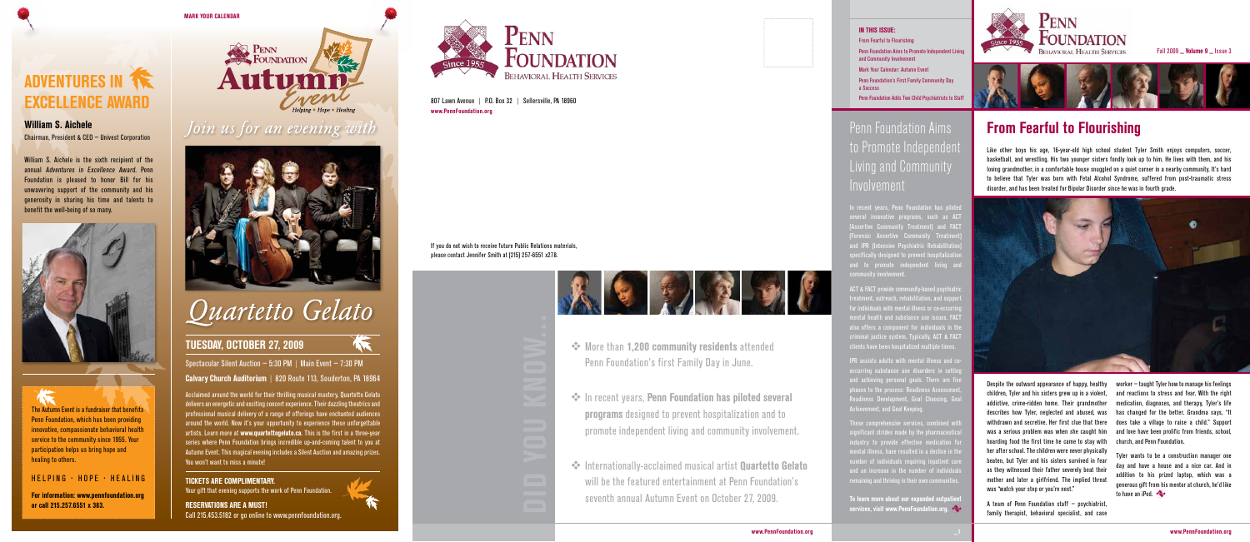Spectacular Silent Auction – 5:30 PM | Main Event – 7:30 PM Calvary Church Auditorium | 820 Route 113, Souderton, PA 18964

Acclaimed around the world for their thrilling musical mastery, Quartetto Gelato delivers an energetic and exciting concert experience. Their dazzling theatrics and professional musical delivery of a range of offerings have enchanted audiences around the world. Now it's your opportunity to experience these unforgettable artists. Learn more at www.quartettogelato.ca. This is the first in a three-year series where Penn Foundation brings incredible up-and-coming talent to you at Autumn Event. This magical evening includes a Silent Auction and amazing prizes. You won't want to miss a minute!

## **ADVENTURES IN THE** eXceLLeNce aWard

William S. Aichele

### TIcKeTs are cOMPLIMeNTary.

Your gift that evening supports the work of Penn Foundation.

reservaTIONs are a MusT! Call 215.453.5182 or go online to www.pennfoundation.org.



Chairman, President & CEO – Univest Corporation

William S. Aichele is the sixth recipient of the annual Adventures in Excellence Award. Penn Foundation is pleased to honor Bill for his unwavering support of the community and his generosity in sharing his time and talents to benefit the well-being of so many.



A team of Penn Foundation staff  $-$  psychiatrist, family therapist, behavioral specialist, and case

The Autumn Event is a fundraiser that benefits Penn Foundation, which has been providing innovative, compassionate behavioral health service to the community since 1955. Your participation helps us bring hope and healing to others.

### HELPING · HOPE · HEALING

### Penn Foundation Aims to Promote Independent Living and Community Involvement

In recent years, Penn Foundation has piloted several innovative programs, such as ACT (Assertive Community Treatment) and FACT **Forensic Assertive Community Treatmer** and IPR (Intensive Psychiatric Rehabilitat  ${\rm special}$ y designed to prevent hospitalizati $\overline{\rm i}$ and to promote independent living and **community involvement** 

For information: www.pennfoundation.org or call 215.257.6551 x 383.

ACT & FACT provide community-based psychiatr  $t$ reatment, outreach, rehabilitation, and support or individuals with mental illness or co-occurring ental health and substance use issues. FACT also offers a component for individuals in th criminal justice system. Typically, ACT & FACT clients have been hospitalized multiple times.

> Despite the outward appearance of happy, healthy children, Tyler and his sisters grew up in a violent, addictive, crime-ridden home. Their grandmother describes how Tyler, neglected and abused, was withdrawn and secretive. Her first clue that there was a serious problem was when she caught him hoarding food the first time he came to stay with her after school. The children were never physically beaten, but Tyler and his sisters survived in fear as they witnessed their father severely beat their mother and later a girlfriend. The implied threat was "watch your step or you're next."

IPR assists adults with mental illness and co occurring substance use disorders in setti and achieving personal goals. There are five phases to the process: Readiness Assessme Readiness Development, Goal Choosing, Goal Achievement, and Goal Keeping.

To learn more about our expanded outpatient services, visit www.PennFoundation.org.



**Fall 2009 \_ Volume 9 \_ Issue 3** 



**<sup>◆</sup>** More than 1,200 community residents attended Penn Foundation's first Family Day in June.

**External Tennal Foundation has piloted several** programs designed to prevent hospitalization and to promote independent living and community involvement. worker – taught Tyler how to manage his feelings and reactions to stress and fear. With the right medication, diagnoses, and therapy, Tyler's life has changed for the better. Grandma says, "It does take a village to raise a child." Support and love have been prolific from friends, school, church, and Penn Foundation.

**<sup>◆</sup>** Internationally-acclaimed musical artist **Quartetto Gelato** will be the featured entertainment at Penn Foundation's seventh annual Autumn Event on October 27, 2009.

807 Lawn Avenue | P.O. Box 32 | Sellersville, PA 18960 www.PennFoundation.org

> Tyler wants to be a construction manager one day and have a house and a nice car. And in addition to his prized laptop, which was a generous gift from his mentor at church, he'd like to have an iPod.



These comprehensive services, combined with gnificant strides made by the pharmaceutical industry to provide effective medication for mental illness, have resulted in a decline in the number of individuals requiring inpatient care and an increase in the number of individuals remaining and thriving in their own communities.

#### In this issue:

From Fearful to Flourishing

Penn Foundation Aims to Promote Independent Living and Community Involvement

Mark Your Calendar: Autumn Event

Penn Foundation's First Family Community Day a Success

Penn Foundation Adds Two Child Psychiatrists to Staff

If you do not wish to receive future Public Relations materials, please contact Jennifer Smith at (215) 257-6551 x278.



- 
- 
- 



MARK YOUR CALENDAR



Join us for an evening with



# Quartetto Gelato

### **TUESDAY, OCTOBER 27, 2009**

### From Fearful to Flourishing

Like other boys his age, 16-year-old high school student Tyler Smith enjoys computers, soccer, basketball, and wrestling. His two younger sisters fondly look up to him. He lives with them, and his loving grandmother, in a comfortable house snuggled on a quiet corner in a nearby community. It's hard to believe that Tyler was born with Fetal Alcohol Syndrome, suffered from post-traumatic stress